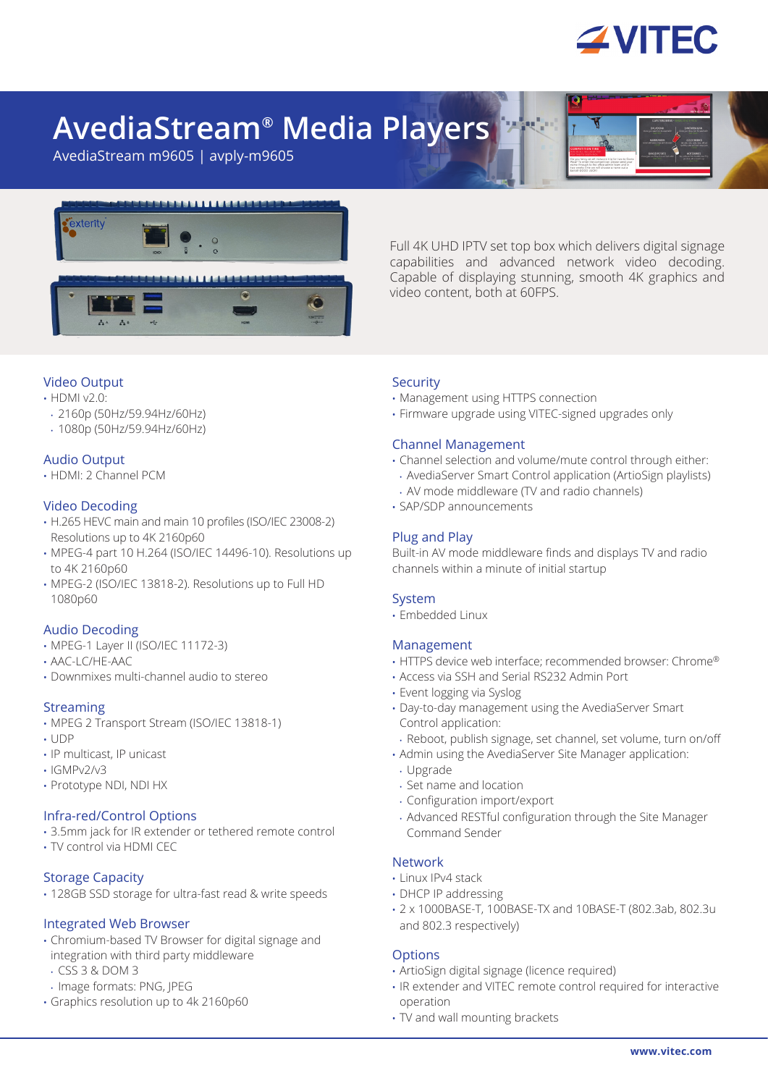

# **AvediaStream® Media Players**

AvediaStream m9605 | avply-m9605



Full 4K UHD IPTV set top box which delivers digital signage capabilities and advanced network video decoding. Capable of displaying stunning, smooth 4K graphics and video content, both at 60FPS.

# Video Output

- HDMI v2.0:
- 2160p (50Hz/59.94Hz/60Hz)
- 1080p (50Hz/59.94Hz/60Hz)

# Audio Output

• HDMI: 2 Channel PCM

## Video Decoding

- H.265 HEVC main and main 10 profiles (ISO/IEC 23008-2) Resolutions up to 4K 2160p60
- MPEG-4 part 10 H.264 (ISO/IEC 14496-10). Resolutions up to 4K 2160p60
- MPEG-2 (ISO/IEC 13818-2). Resolutions up to Full HD 1080p60

## Audio Decoding

- MPEG-1 Layer II (ISO/IEC 11172-3)
- AAC-LC/HE-AAC
- Downmixes multi-channel audio to stereo

## Streaming

- MPEG 2 Transport Stream (ISO/IEC 13818-1)
- UDP
- IP multicast, IP unicast
- IGMPv2/v3
- Prototype NDI, NDI HX

## Infra-red/Control Options

- 3.5mm jack for IR extender or tethered remote control
- TV control via HDMI CEC

## Storage Capacity

• 128GB SSD storage for ultra-fast read & write speeds

## Integrated Web Browser

- Chromium-based TV Browser for digital signage and integration with third party middleware
- CSS 3 & DOM 3
- Image formats: PNG, JPEG
- Graphics resolution up to 4k 2160p60

#### **Security**

- Management using HTTPS connection
- Firmware upgrade using VITEC-signed upgrades only

## Channel Management

- Channel selection and volume/mute control through either:
- AvediaServer Smart Control application (ArtioSign playlists)
- AV mode middleware (TV and radio channels)
- SAP/SDP announcements

## Plug and Play

Built-in AV mode middleware finds and displays TV and radio channels within a minute of initial startup

## System

• Embedded Linux

## Management

- HTTPS device web interface; recommended browser: Chrome®
- Access via SSH and Serial RS232 Admin Port
- Event logging via Syslog
- Day-to-day management using the AvediaServer Smart Control application:
- Reboot, publish signage, set channel, set volume, turn on/off
- Admin using the AvediaServer Site Manager application:
- Upgrade
- Set name and location
- Configuration import/export
- Advanced RESTful configuration through the Site Manager Command Sender

## Network

- Linux IPv4 stack
- DHCP IP addressing
- 2 x 1000BASE-T, 100BASE-TX and 10BASE-T (802.3ab, 802.3u and 802.3 respectively)

## **Options**

- ArtioSign digital signage (licence required)
- IR extender and VITEC remote control required for interactive operation
- TV and wall mounting brackets